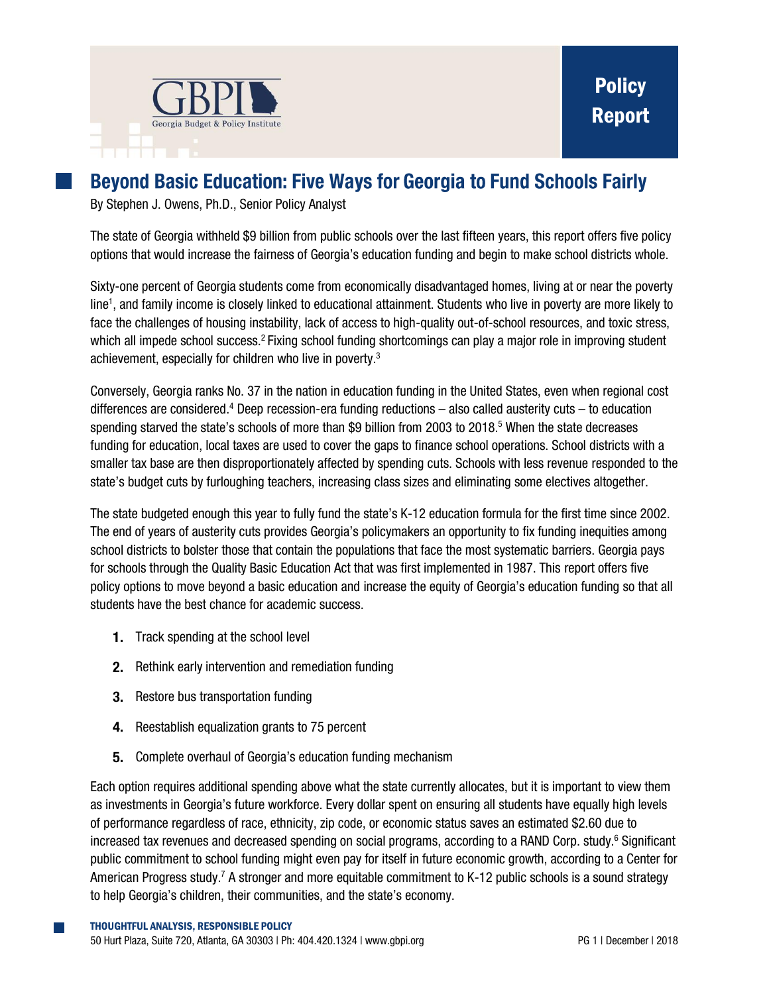

# **Beyond Basic Education: Five Ways for Georgia to Fund Schools Fairly**

By Stephen J. Owens, Ph.D., Senior Policy Analyst

The state of Georgia withheld \$9 billion from public schools over the last fifteen years, this report offers five policy options that would increase the fairness of Georgia's education funding and begin to make school districts whole.

Sixty-one percent of Georgia students come from economically disadvantaged homes, living at or near the poverty line<sup>1</sup>, and family income is closely linked to educational attainment. Students who live in poverty are more likely to face the challenges of housing instability, lack of access to high-quality out-of-school resources, and toxic stress, which all impede school success.<sup>2</sup> Fixing school funding shortcomings can play a major role in improving student achievement, especially for children who live in poverty.<sup>3</sup>

Conversely, Georgia ranks No. 37 in the nation in education funding in the United States, even when regional cost differences are considered.<sup>4</sup> Deep recession-era funding reductions – also called austerity cuts – to education spending starved the state's schools of more than \$9 billion from 2003 to 2018.<sup>5</sup> When the state decreases funding for education, local taxes are used to cover the gaps to finance school operations. School districts with a smaller tax base are then disproportionately affected by spending cuts. Schools with less revenue responded to the state's budget cuts by furloughing teachers, increasing class sizes and eliminating some electives altogether.

The state budgeted enough this year to fully fund the state's K-12 education formula for the first time since 2002. The end of years of austerity cuts provides Georgia's policymakers an opportunity to fix funding inequities among school districts to bolster those that contain the populations that face the most systematic barriers. Georgia pays for schools through the Quality Basic Education Act that was first implemented in 1987. This report offers five policy options to move beyond a basic education and increase the equity of Georgia's education funding so that all students have the best chance for academic success.

- **1.** Track spending at the school level
- 2. Rethink early intervention and remediation funding
- **3.** Restore bus transportation funding
- 4. Reestablish equalization grants to 75 percent
- **5.** Complete overhaul of Georgia's education funding mechanism

Each option requires additional spending above what the state currently allocates, but it is important to view them as investments in Georgia's future workforce. Every dollar spent on ensuring all students have equally high levels of performance regardless of race, ethnicity, zip code, or economic status saves an estimated \$2.60 due to increased tax revenues and decreased spending on social programs, according to a RAND Corp. study.<sup>6</sup> Significant public commitment to school funding might even pay for itself in future economic growth, according to a Center for American Progress study.<sup>7</sup> A stronger and more equitable commitment to K-12 public schools is a sound strategy to help Georgia's children, their communities, and the state's economy.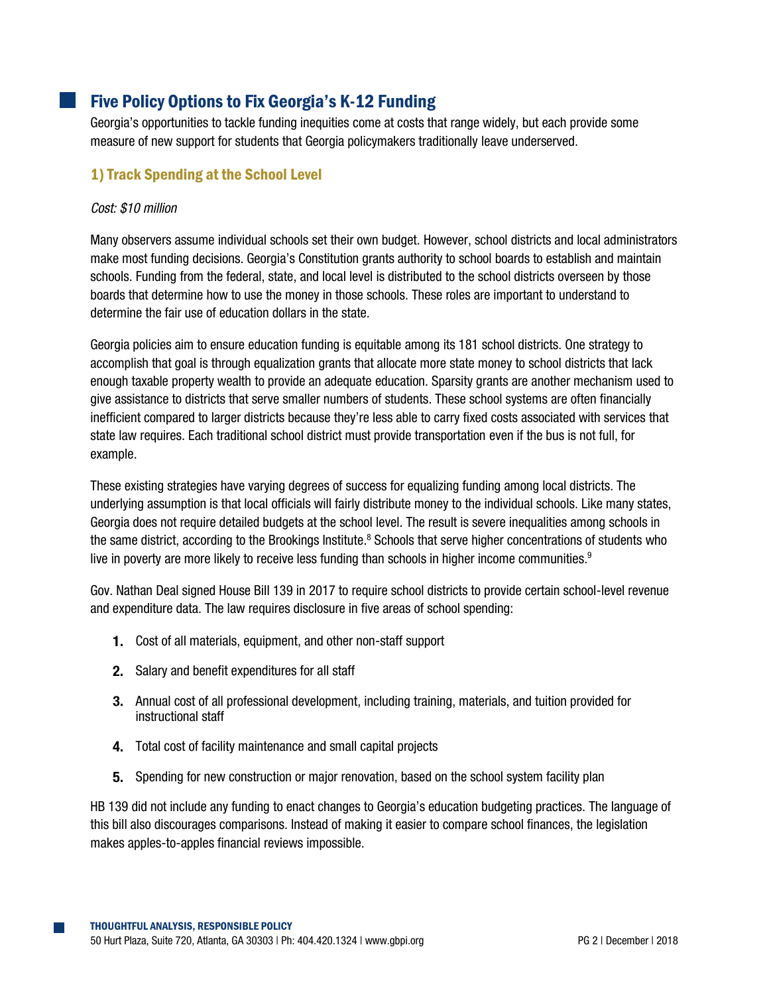# Five Policy Options to Fix Georgia's K-12 Funding

Georgia's opportunities to tackle funding inequities come at costs that range widely, but each provide some measure of new support for students that Georgia policymakers traditionally leave underserved.

### 1) Track Spending at the School Level

#### *Cost: \$10 million*

Many observers assume individual schools set their own budget. However, school districts and local administrators make most funding decisions. Georgia's Constitution grants authority to school boards to establish and maintain schools. Funding from the federal, state, and local level is distributed to the school districts overseen by those boards that determine how to use the money in those schools. These roles are important to understand to determine the fair use of education dollars in the state.

Georgia policies aim to ensure education funding is equitable among its 181 school districts. One strategy to accomplish that goal is through equalization grants that allocate more state money to school districts that lack enough taxable property wealth to provide an adequate education. Sparsity grants are another mechanism used to give assistance to districts that serve smaller numbers of students. These school systems are often financially inefficient compared to larger districts because they're less able to carry fixed costs associated with services that state law requires. Each traditional school district must provide transportation even if the bus is not full, for example.

These existing strategies have varying degrees of success for equalizing funding among local districts. The underlying assumption is that local officials will fairly distribute money to the individual schools. Like many states, Georgia does not require detailed budgets at the school level. The result is severe inequalities among schools in the same district, according to the Brookings Institute.<sup>8</sup> Schools that serve higher concentrations of students who live in poverty are more likely to receive less funding than schools in higher income communities.<sup>9</sup>

Gov. Nathan Deal signed House Bill 139 in 2017 to require school districts to provide certain school-level revenue and expenditure data. The law requires disclosure in five areas of school spending:

- 1. Cost of all materials, equipment, and other non-staff support
- 2. Salary and benefit expenditures for all staff
- Annual cost of all professional development, including training, materials, and tuition provided for instructional staff
- 4. Total cost of facility maintenance and small capital projects
- **5.** Spending for new construction or major renovation, based on the school system facility plan

HB 139 did not include any funding to enact changes to Georgia's education budgeting practices. The language of this bill also discourages comparisons. Instead of making it easier to compare school finances, the legislation makes apples-to-apples financial reviews impossible.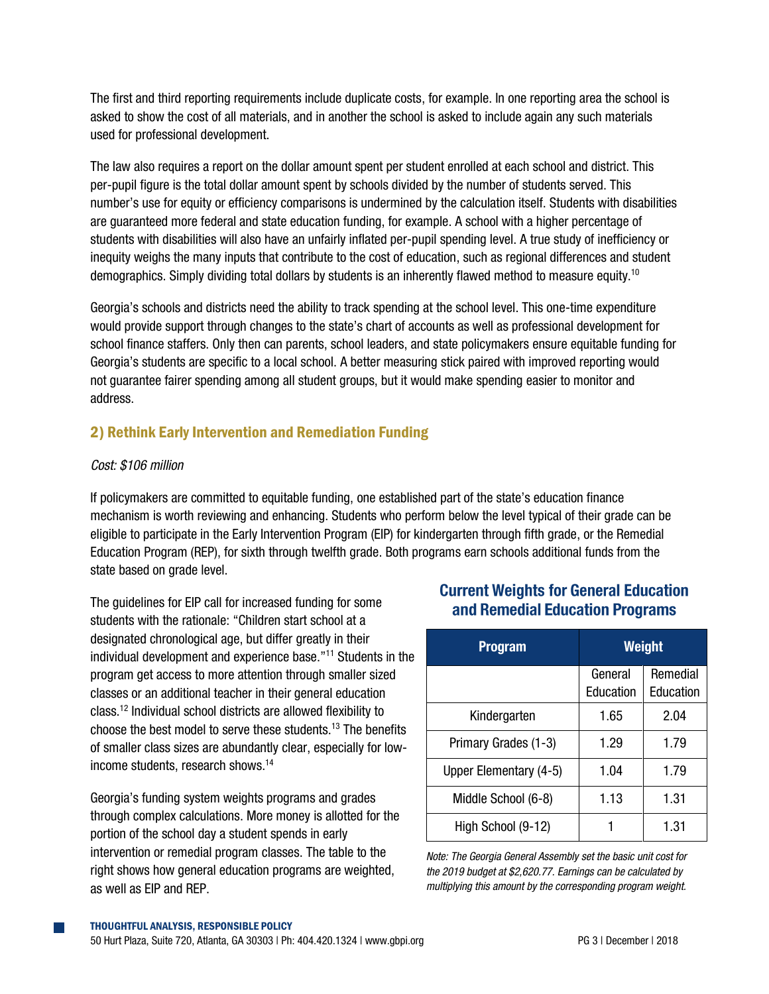The first and third reporting requirements include duplicate costs, for example. In one reporting area the school is asked to show the cost of all materials, and in another the school is asked to include again any such materials used for professional development.

The law also requires a report on the dollar amount spent per student enrolled at each school and district. This per-pupil figure is the total dollar amount spent by schools divided by the number of students served. This number's use for equity or efficiency comparisons is undermined by the calculation itself. Students with disabilities are guaranteed more federal and state education funding, for example. A school with a higher percentage of students with disabilities will also have an unfairly inflated per-pupil spending level. A true study of inefficiency or inequity weighs the many inputs that contribute to the cost of education, such as regional differences and student demographics. Simply dividing total dollars by students is an inherently flawed method to measure equity.<sup>10</sup>

Georgia's schools and districts need the ability to track spending at the school level. This one-time expenditure would provide support through changes to the state's chart of accounts as well as professional development for school finance staffers. Only then can parents, school leaders, and state policymakers ensure equitable funding for Georgia's students are specific to a local school. A better measuring stick paired with improved reporting would not guarantee fairer spending among all student groups, but it would make spending easier to monitor and address.

## 2) Rethink Early Intervention and Remediation Funding

### *Cost: \$106 million*

If policymakers are committed to equitable funding, one established part of the state's education finance mechanism is worth reviewing and enhancing. Students who perform below the level typical of their grade can be eligible to participate in the Early Intervention Program (EIP) for kindergarten through fifth grade, or the Remedial Education Program (REP), for sixth through twelfth grade. Both programs earn schools additional funds from the state based on grade level.

The guidelines for EIP call for increased funding for some students with the rationale: "Children start school at a designated chronological age, but differ greatly in their individual development and experience base."<sup>11</sup> Students in the program get access to more attention through smaller sized classes or an additional teacher in their general education class.<sup>12</sup> Individual school districts are allowed flexibility to choose the best model to serve these students.<sup>13</sup> The benefits of smaller class sizes are abundantly clear, especially for lowincome students, research shows. 14

Georgia's funding system weights programs and grades through complex calculations. More money is allotted for the portion of the school day a student spends in early intervention or remedial program classes. The table to the right shows how general education programs are weighted, as well as EIP and REP.

# **Current Weights for General Education** and Remedial Education Programs

| <b>Program</b>         | Weight               |                       |
|------------------------|----------------------|-----------------------|
|                        | General<br>Education | Remedial<br>Education |
| Kindergarten           | 1.65                 | 2.04                  |
| Primary Grades (1-3)   | 1.29                 | 1.79                  |
| Upper Elementary (4-5) | 1.04                 | 1.79                  |
| Middle School (6-8)    | 1.13                 | 1.31                  |
| High School (9-12)     |                      | 1.31                  |

*Note: The Georgia General Assembly set the basic unit cost for the 2019 budget at \$2,620.77. Earnings can be calculated by multiplying this amount by the corresponding program weight.*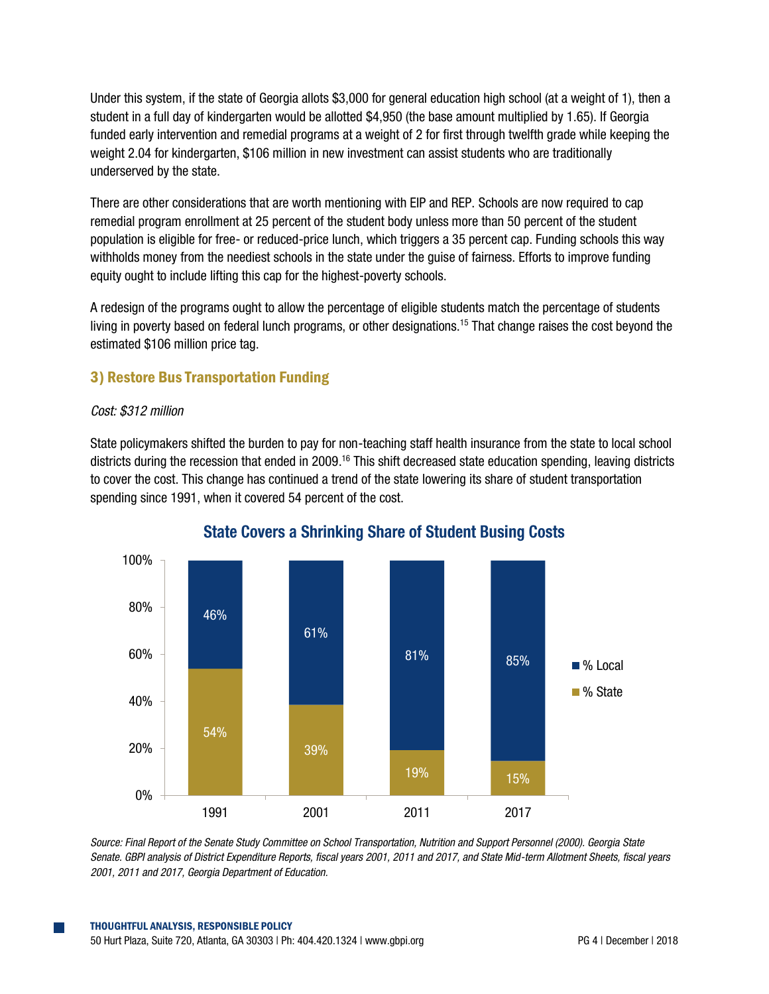Under this system, if the state of Georgia allots \$3,000 for general education high school (at a weight of 1), then a student in a full day of kindergarten would be allotted \$4,950 (the base amount multiplied by 1.65). If Georgia funded early intervention and remedial programs at a weight of 2 for first through twelfth grade while keeping the weight 2.04 for kindergarten, \$106 million in new investment can assist students who are traditionally underserved by the state.

There are other considerations that are worth mentioning with EIP and REP. Schools are now required to cap remedial program enrollment at 25 percent of the student body unless more than 50 percent of the student population is eligible for free- or reduced-price lunch, which triggers a 35 percent cap. Funding schools this way withholds money from the neediest schools in the state under the guise of fairness. Efforts to improve funding equity ought to include lifting this cap for the highest-poverty schools.

A redesign of the programs ought to allow the percentage of eligible students match the percentage of students living in poverty based on federal lunch programs, or other designations. <sup>15</sup> That change raises the cost beyond the estimated \$106 million price tag.

## 3) Restore Bus Transportation Funding

### *Cost: \$312 million*

State policymakers shifted the burden to pay for non-teaching staff health insurance from the state to local school districts during the recession that ended in 2009.<sup>16</sup> This shift decreased state education spending, leaving districts to cover the cost. This change has continued a trend of the state lowering its share of student transportation spending since 1991, when it covered 54 percent of the cost.



## **State Covers a Shrinking Share of Student Busing Costs**

*Source: Final Report of the Senate Study Committee on School Transportation, Nutrition and Support Personnel (2000). Georgia State Senate. GBPI analysis of District Expenditure Reports, fiscal years 2001, 2011 and 2017, and State Mid-term Allotment Sheets, fiscal years 2001, 2011 and 2017, Georgia Department of Education.*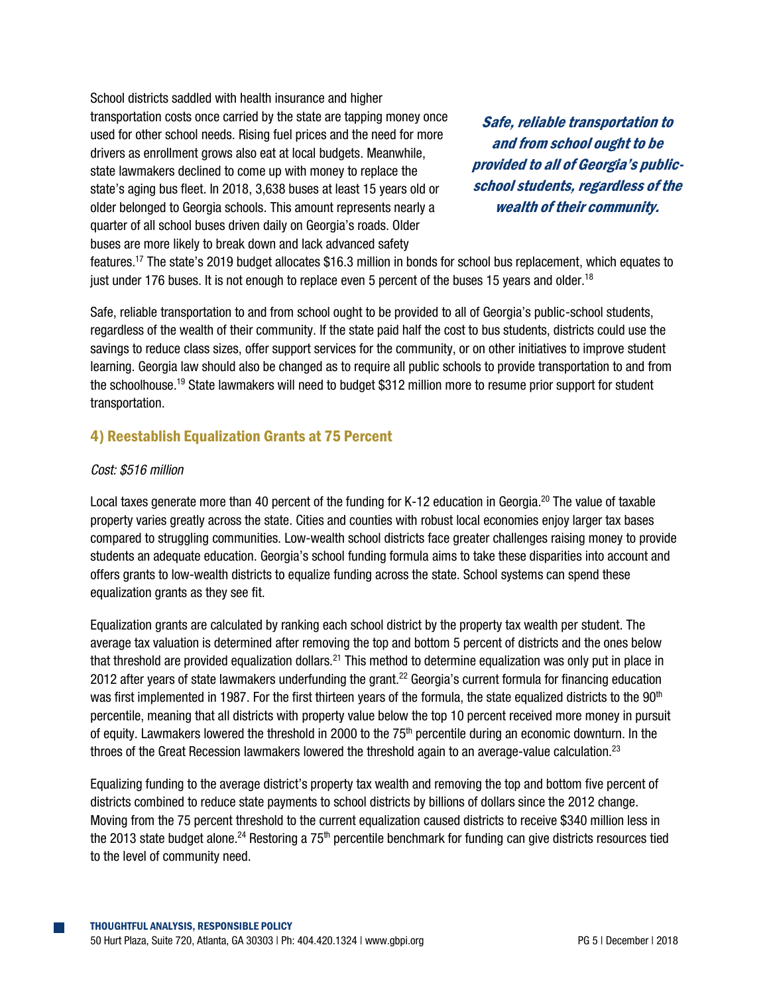School districts saddled with health insurance and higher transportation costs once carried by the state are tapping money once used for other school needs. Rising fuel prices and the need for more drivers as enrollment grows also eat at local budgets. Meanwhile, state lawmakers declined to come up with money to replace the state's aging bus fleet. In 2018, 3,638 buses at least 15 years old or older belonged to Georgia schools. This amount represents nearly a quarter of all school buses driven daily on Georgia's roads. Older buses are more likely to break down and lack advanced safety

Safe, reliable transportation to and from school ought to be provided to all of Georgia's publicschool students, regardless of the wealth of their community.

features.<sup>17</sup> The state's 2019 budget allocates \$16.3 million in bonds for school bus replacement, which equates to just under 176 buses. It is not enough to replace even 5 percent of the buses 15 years and older.<sup>18</sup>

Safe, reliable transportation to and from school ought to be provided to all of Georgia's public-school students, regardless of the wealth of their community. If the state paid half the cost to bus students, districts could use the savings to reduce class sizes, offer support services for the community, or on other initiatives to improve student learning. Georgia law should also be changed as to require all public schools to provide transportation to and from the schoolhouse.<sup>19</sup> State lawmakers will need to budget \$312 million more to resume prior support for student transportation.

### 4) Reestablish Equalization Grants at 75 Percent

#### *Cost: \$516 million*

Local taxes generate more than 40 percent of the funding for K-12 education in Georgia.<sup>20</sup> The value of taxable property varies greatly across the state. Cities and counties with robust local economies enjoy larger tax bases compared to struggling communities. Low-wealth school districts face greater challenges raising money to provide students an adequate education. Georgia's school funding formula aims to take these disparities into account and offers grants to low-wealth districts to equalize funding across the state. School systems can spend these equalization grants as they see fit.

Equalization grants are calculated by ranking each school district by the property tax wealth per student. The average tax valuation is determined after removing the top and bottom 5 percent of districts and the ones below that threshold are provided equalization dollars.<sup>21</sup> This method to determine equalization was only put in place in 2012 after years of state lawmakers underfunding the grant.<sup>22</sup> Georgia's current formula for financing education was first implemented in 1987. For the first thirteen years of the formula, the state equalized districts to the 90<sup>th</sup> percentile, meaning that all districts with property value below the top 10 percent received more money in pursuit of equity. Lawmakers lowered the threshold in 2000 to the 75<sup>th</sup> percentile during an economic downturn. In the throes of the Great Recession lawmakers lowered the threshold again to an average-value calculation.<sup>23</sup>

Equalizing funding to the average district's property tax wealth and removing the top and bottom five percent of districts combined to reduce state payments to school districts by billions of dollars since the 2012 change. Moving from the 75 percent threshold to the current equalization caused districts to receive \$340 million less in the 2013 state budget alone.<sup>24</sup> Restoring a 75<sup>th</sup> percentile benchmark for funding can give districts resources tied to the level of community need.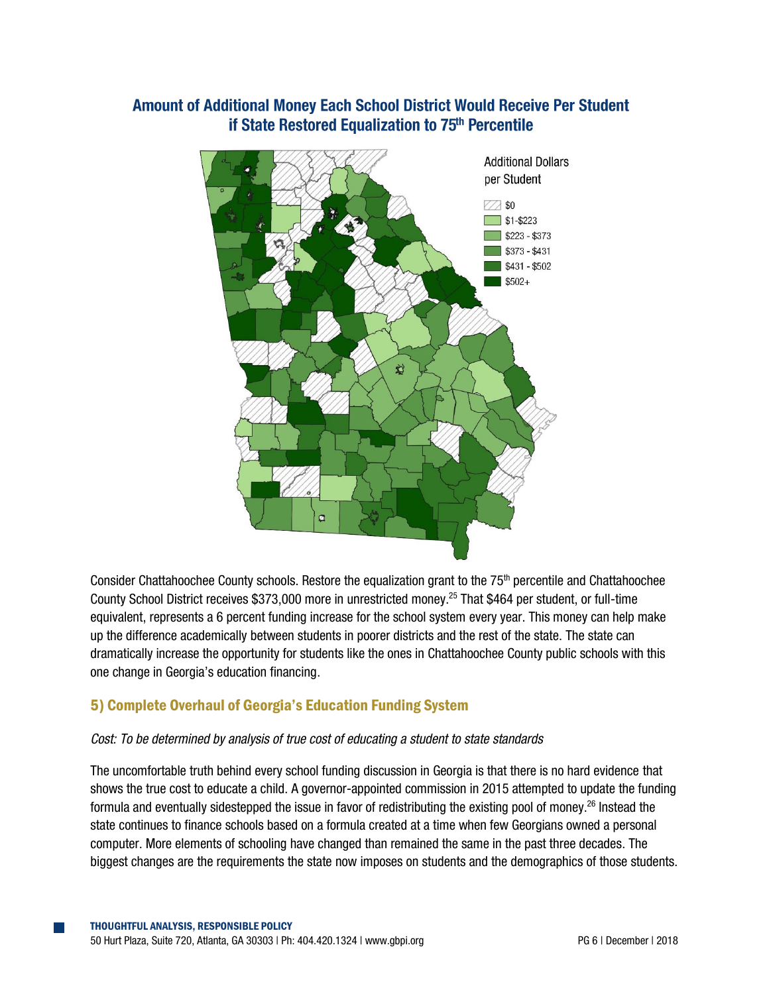## **Amount of Additional Money Each School District Would Receive Per Student** if State Restored Equalization to 75<sup>th</sup> Percentile



Consider Chattahoochee County schools. Restore the equalization grant to the 75<sup>th</sup> percentile and Chattahoochee County School District receives \$373,000 more in unrestricted money. <sup>25</sup> That \$464 per student, or full-time equivalent, represents a 6 percent funding increase for the school system every year. This money can help make up the difference academically between students in poorer districts and the rest of the state. The state can dramatically increase the opportunity for students like the ones in Chattahoochee County public schools with this one change in Georgia's education financing.

### 5) Complete Overhaul of Georgia's Education Funding System

#### *Cost: To be determined by analysis of true cost of educating a student to state standards*

The uncomfortable truth behind every school funding discussion in Georgia is that there is no hard evidence that shows the true cost to educate a child. A governor-appointed commission in 2015 attempted to update the funding formula and eventually sidestepped the issue in favor of redistributing the existing pool of money.<sup>26</sup> Instead the state continues to finance schools based on a formula created at a time when few Georgians owned a personal computer. More elements of schooling have changed than remained the same in the past three decades. The biggest changes are the requirements the state now imposes on students and the demographics of those students.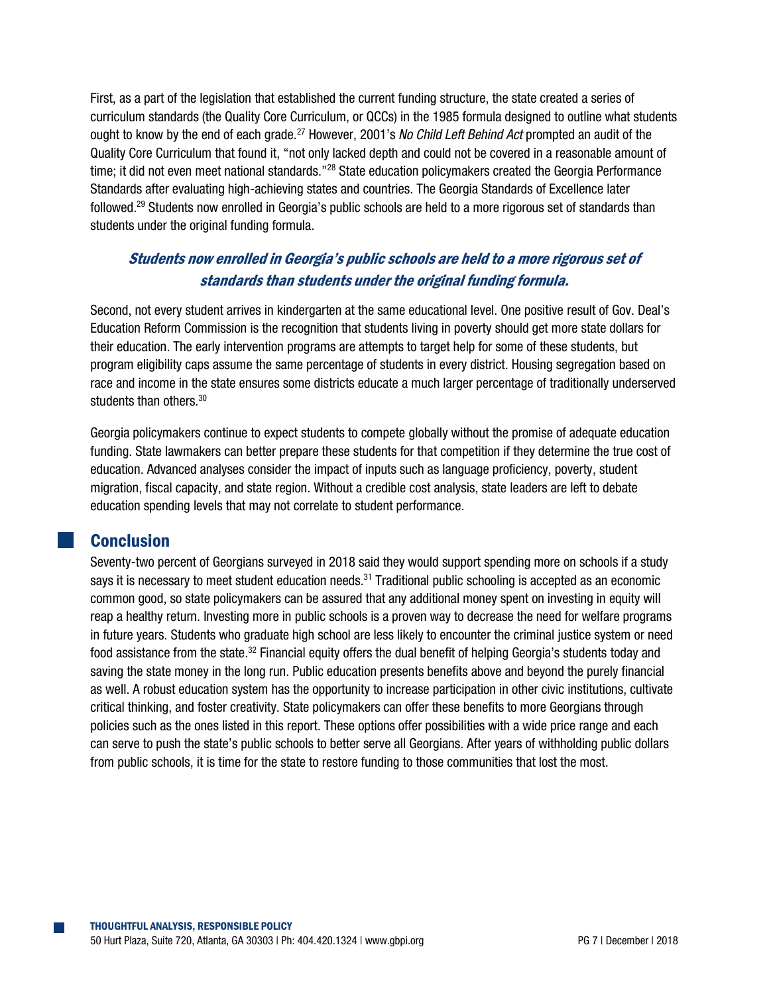First, as a part of the legislation that established the current funding structure, the state created a series of curriculum standards (the Quality Core Curriculum, or QCCs) in the 1985 formula designed to outline what students ought to know by the end of each grade.<sup>27</sup> However, 2001's *No Child Left Behind Act* prompted an audit of the Quality Core Curriculum that found it, "not only lacked depth and could not be covered in a reasonable amount of time; it did not even meet national standards."<sup>28</sup> State education policymakers created the Georgia Performance Standards after evaluating high-achieving states and countries. The Georgia Standards of Excellence later followed.<sup>29</sup> Students now enrolled in Georgia's public schools are held to a more rigorous set of standards than students under the original funding formula.

# Students now enrolled in Georgia's public schools are held to a more rigorous set of standards than students under the original funding formula.

Second, not every student arrives in kindergarten at the same educational level. One positive result of Gov. Deal's Education Reform Commission is the recognition that students living in poverty should get more state dollars for their education. The early intervention programs are attempts to target help for some of these students, but program eligibility caps assume the same percentage of students in every district. Housing segregation based on race and income in the state ensures some districts educate a much larger percentage of traditionally underserved students than others.<sup>30</sup>

Georgia policymakers continue to expect students to compete globally without the promise of adequate education funding. State lawmakers can better prepare these students for that competition if they determine the true cost of education. Advanced analyses consider the impact of inputs such as language proficiency, poverty, student migration, fiscal capacity, and state region. Without a credible cost analysis, state leaders are left to debate education spending levels that may not correlate to student performance.

# **Conclusion**

Seventy-two percent of Georgians surveyed in 2018 said they would support spending more on schools if a study says it is necessary to meet student education needs.<sup>31</sup> Traditional public schooling is accepted as an economic common good, so state policymakers can be assured that any additional money spent on investing in equity will reap a healthy return. Investing more in public schools is a proven way to decrease the need for welfare programs in future years. Students who graduate high school are less likely to encounter the criminal justice system or need food assistance from the state.<sup>32</sup> Financial equity offers the dual benefit of helping Georgia's students today and saving the state money in the long run. Public education presents benefits above and beyond the purely financial as well. A robust education system has the opportunity to increase participation in other civic institutions, cultivate critical thinking, and foster creativity. State policymakers can offer these benefits to more Georgians through policies such as the ones listed in this report. These options offer possibilities with a wide price range and each can serve to push the state's public schools to better serve all Georgians. After years of withholding public dollars from public schools, it is time for the state to restore funding to those communities that lost the most.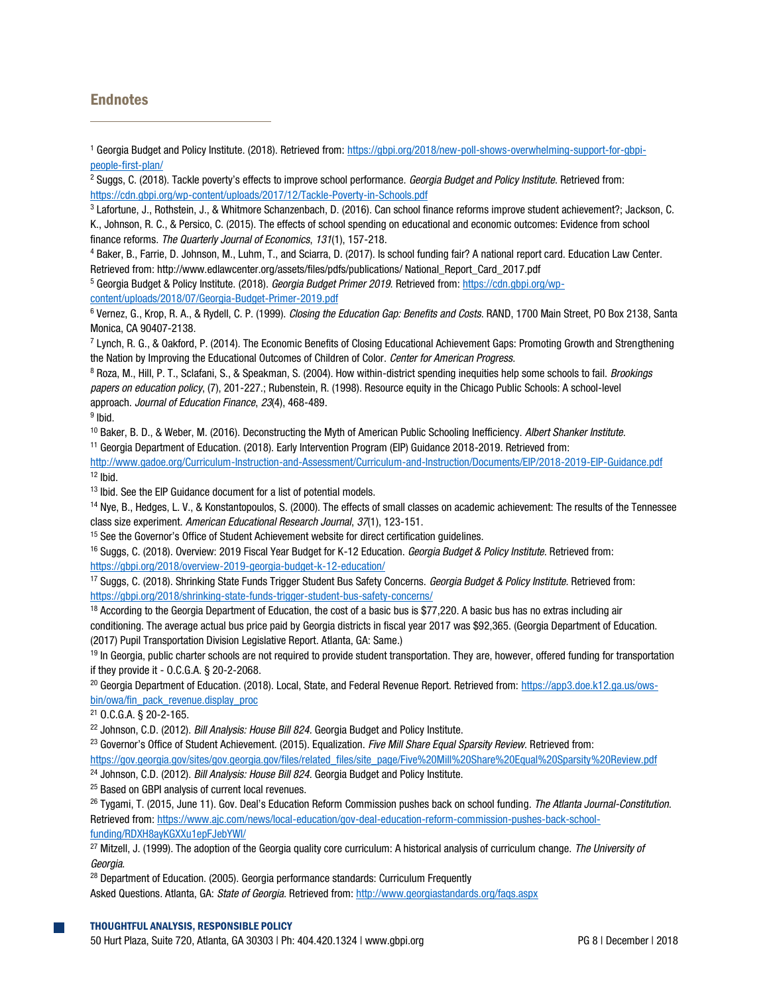### **Endnotes**

 $\overline{a}$ 

<sup>4</sup> Baker, B., Farrie, D. Johnson, M., Luhm, T., and Sciarra, D. (2017). Is school funding fair? A national report card. Education Law Center. Retrieved from: http://www.edlawcenter.org/assets/files/pdfs/publications/ National\_Report\_Card\_2017.pdf

<sup>5</sup> Georgia Budget & Policy Institute. (2018). *Georgia Budget Primer 2019*. Retrieved from[: https://cdn.gbpi.org/wp](https://cdn.gbpi.org/wp-content/uploads/2018/07/Georgia-Budget-Primer-2019.pdf)[content/uploads/2018/07/Georgia-Budget-Primer-2019.pdf](https://cdn.gbpi.org/wp-content/uploads/2018/07/Georgia-Budget-Primer-2019.pdf)

<sup>6</sup> Vernez, G., Krop, R. A., & Rydell, C. P. (1999). *Closing the Education Gap: Benefits and Costs*. RAND, 1700 Main Street, PO Box 2138, Santa Monica, CA 90407-2138.

7 Lynch, R. G., & Oakford, P. (2014). The Economic Benefits of Closing Educational Achievement Gaps: Promoting Growth and Strengthening the Nation by Improving the Educational Outcomes of Children of Color. *Center for American Progress*.

<sup>8</sup> Roza, M., Hill, P. T., Sclafani, S., & Speakman, S. (2004). How within-district spending inequities help some schools to fail. *Brookings papers on education policy*, (7), 201-227.; Rubenstein, R. (1998). Resource equity in the Chicago Public Schools: A school-level approach. *Journal of Education Finance*, *23*(4), 468-489.

<sup>9</sup> Ibid.

<sup>10</sup> Baker, B. D., & Weber, M. (2016). Deconstructing the Myth of American Public Schooling Inefficiency. *Albert Shanker Institute*. <sup>11</sup> Georgia Department of Education. (2018). Early Intervention Program (EIP) Guidance 2018-2019. Retrieved from:

<http://www.gadoe.org/Curriculum-Instruction-and-Assessment/Curriculum-and-Instruction/Documents/EIP/2018-2019-EIP-Guidance.pdf>  $12$  lbid.

<sup>13</sup> Ibid. See the EIP Guidance document for a list of potential models.

<sup>14</sup> Nye, B., Hedges, L. V., & Konstantopoulos, S. (2000). The effects of small classes on academic achievement: The results of the Tennessee class size experiment. *American Educational Research Journal*, *37*(1), 123-151.

<sup>15</sup> See the Governor's Office of Student Achievement website for direct certification quidelines.

<sup>16</sup> Suggs, C. (2018). Overview: 2019 Fiscal Year Budget for K-12 Education. *Georgia Budget & Policy Institute*. Retrieved from: <https://gbpi.org/2018/overview-2019-georgia-budget-k-12-education/>

<sup>17</sup> Suggs, C. (2018). Shrinking State Funds Trigger Student Bus Safety Concerns. *Georgia Budget & Policy Institute*. Retrieved from: <https://gbpi.org/2018/shrinking-state-funds-trigger-student-bus-safety-concerns/>

<sup>18</sup> According to the Georgia Department of Education, the cost of a basic bus is \$77,220. A basic bus has no extras including air conditioning. The average actual bus price paid by Georgia districts in fiscal year 2017 was \$92,365. (Georgia Department of Education. (2017) Pupil Transportation Division Legislative Report. Atlanta, GA: Same.)

<sup>19</sup> In Georgia, public charter schools are not required to provide student transportation. They are, however, offered funding for transportation if they provide it - O.C.G.A. § 20-2-2068.

<sup>20</sup> Georgia Department of Education. (2018). Local, State, and Federal Revenue Report. Retrieved from: [https://app3.doe.k12.ga.us/ows](https://app3.doe.k12.ga.us/ows-bin/owa/fin_pack_revenue.display_proc)[bin/owa/fin\\_pack\\_revenue.display\\_proc](https://app3.doe.k12.ga.us/ows-bin/owa/fin_pack_revenue.display_proc)

<sup>21</sup> O.C.G.A. § 20-2-165.

<sup>22</sup> Johnson, C.D. (2012). *Bill Analysis: House Bill 824.* Georgia Budget and Policy Institute.

<sup>23</sup> Governor's Office of Student Achievement. (2015). Equalization. *Five Mill Share Equal Sparsity Review*. Retrieved from:

[https://gov.georgia.gov/sites/gov.georgia.gov/files/related\\_files/site\\_page/Five%20Mill%20Share%20Equal%20Sparsity%20Review.pdf](https://gov.georgia.gov/sites/gov.georgia.gov/files/related_files/site_page/Five%20Mill%20Share%20Equal%20Sparsity%20Review.pdf) <sup>24</sup> Johnson, C.D. (2012). *Bill Analysis: House Bill 824.* Georgia Budget and Policy Institute.

<sup>25</sup> Based on GBPI analysis of current local revenues.

<sup>26</sup> Tygami, T. (2015, June 11). Gov. Deal's Education Reform Commission pushes back on school funding. *The Atlanta Journal-Constitution*. Retrieved from[: https://www.ajc.com/news/local-education/gov-deal-education-reform-commission-pushes-back-school](https://www.ajc.com/news/local-education/gov-deal-education-reform-commission-pushes-back-school-funding/RDXH8ayKGXXu1epFJebYWI/)[funding/RDXH8ayKGXXu1epFJebYWI/](https://www.ajc.com/news/local-education/gov-deal-education-reform-commission-pushes-back-school-funding/RDXH8ayKGXXu1epFJebYWI/)

<sup>27</sup> Mitzell, J. (1999). The adoption of the Georgia quality core curriculum: A historical analysis of curriculum change. *The University of Georgia*.

<sup>28</sup> Department of Education. (2005). Georgia performance standards: Curriculum Frequently

Asked Questions. Atlanta, GA: *State of Georgia*. Retrieved from[: http://www.georgiastandards.org/faqs.aspx](http://www.georgiastandards.org/faqs.aspx)

<sup>1</sup> Georgia Budget and Policy Institute. (2018). Retrieved from[: https://gbpi.org/2018/new-poll-shows-overwhelming-support-for-gbpi](https://gbpi.org/2018/new-poll-shows-overwhelming-support-for-gbpi-people-first-plan/)[people-first-plan/](https://gbpi.org/2018/new-poll-shows-overwhelming-support-for-gbpi-people-first-plan/)

<sup>2</sup> Suggs, C. (2018). Tackle poverty's effects to improve school performance. *Georgia Budget and Policy Institute*. Retrieved from: <https://cdn.gbpi.org/wp-content/uploads/2017/12/Tackle-Poverty-in-Schools.pdf>

<sup>3</sup> Lafortune, J., Rothstein, J., & Whitmore Schanzenbach, D. (2016). Can school finance reforms improve student achievement?; Jackson, C. K., Johnson, R. C., & Persico, C. (2015). The effects of school spending on educational and economic outcomes: Evidence from school finance reforms. *The Quarterly Journal of Economics*, *131*(1), 157-218.